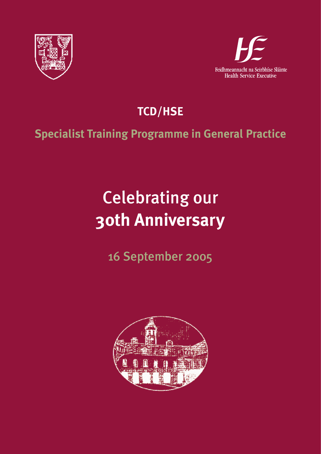



## **TCD/HSE**

## **Specialist Training Programme in General Practice**

# Celebrating our **30th Anniversary**

16 September 2005

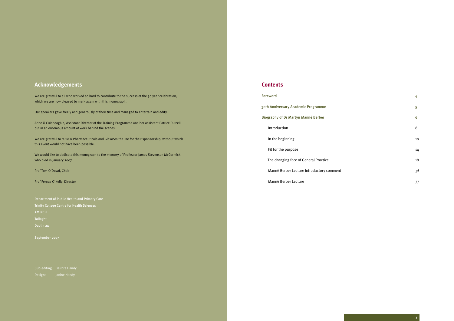#### **Acknowledgements**

We are grateful to all who worked so hard to contribute to the success of the 30 year celebration, which we are now pleased to mark again with this monograph.

Our speakers gave freely and generously of their time and managed to entertain and edify.

Anne Ó Cuinneagáin, Assistant Director of the Training Programme and her assistant Patrice Purcell put in an enormous amount of work behind the scenes.

Foreword 4 Introduction 8 In the beginning 10 Fit for the purpose 14

We are grateful to MERCK Pharmaceuticals and GlaxoSmithKline for their sponsorship, without which this event would not have been possible.

We would like to dedicate this monograph to the memory of Professor James Stevenson McCormick, who died in January 2007.

Prof Tom O'Dowd, Chair

Prof Fergus O'Kelly, Director

Department of Public Health and Primary Care Trinity College Centre for Health Sciences AMiNCH Tallaght Dublin 24

September 2007

Sub-editing: Deirdre Handy Design: Janine Handy

#### **Contents**

30th Anniversary Academic Programme 5

Biography of Dr Martyn Manné Berber 6 and the state of the state of  $6\,$ 

The changing face of General Practice 18 and 200 minutes of  $18$ 

Manné Berber Lecture Introductory comment 36

Manné Berber Lecture 37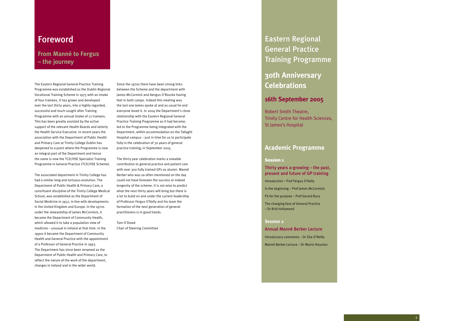5

### Foreword

### **From Manné to Fergus – the journey**

The Eastern Regional General Practice Training Programme was established as the Dublin Regional Vocational Training Scheme in 1975 with an intake of four trainees. It has grown and developed over the last thirty years, into a highly regarded, successful and much sought after Training Programme with an annual intake of 12 trainees. This has been greatly assisted by the active support of the relevant Health Boards and latterly the Health Service Executive. In recent years the association with the Department of Public Health and Primary Care at Trinity College Dublin has deepened to a point where the Programme is now an integral part of the Department and hence the name is now the TCD/HSE Specialist Training Programme in General Practice (TCD/HSE Scheme).

The associated department in Trinity College has had a similar long and tortuous evolution. The Department of Public Health & Primary Care, a constituent discipline of the Trinity College Medical School, was established as the Department of Social Medicine in 1952, in line with developments in the United Kingdom and Europe. In the 1970s under the stewardship of James McCormick, it became the Department of Community Health, which allowed it to take a population view of medicine – unusual in Ireland at that time. In the 1990s it became the Department of Community Health and General Practice with the appointment of a Professor of General Practice in 1993. The Department has since been renamed as the Department of Public Health and Primary Care, to reflect the nature of the work of the department, changes in Ireland and in the wider world.

Since the 1970s there have been strong links between the Scheme and the department with James McCormick and Aengus O'Rourke having feet in both camps. Indeed this meeting was the last one James spoke at and as usual he and everyone loved it. In 2004 the Department's close relationship with the Eastern Regional General Practice Training Programme as it had become, led to the Programme being integrated with the Department, within accommodation on the Tallaght Hospital campus – just in time for us to participate fully in the celebration of 30 years of general practice training, in September 2005.

The thirty year celebration marks a sizeable contribution to general practice and patient care with over 300 fully trained GPs as alumni. Manné Berber who was so often mentioned on the day could not have foreseen the success or indeed longevity of the scheme. It is not wise to predict what the next thirty years will bring but there is a lot to build on and under the current leadership of Professor Fergus O'Kelly and his team the formation of the next generation of general practitioners is in good hands.

Tom O'Dowd Chair of Steering Committee

## Eastern Regional General Practice Training Programme

## **30th Anniversary Celebrations**

### **16th September 2005**

Robert Smith Theatre, Trinity Centre for Health Sciences, St James's Hospital

#### **Academic Programme**

#### Session 1

#### Thirty years a-growing – the past, present and future of GP training

Introduction – Prof Fergus O'Kelly

In the beginning – Prof James McCormick

Fit for the purpose – Prof Gerard Bury

The changing face of General Practice – Dr Brid Hollywood

#### **Session 2**

#### Annual Manné Berber Lecture

Introductory comments – Dr Zita O'Reilly

Manné Berber Lecture – Dr Muiris Houston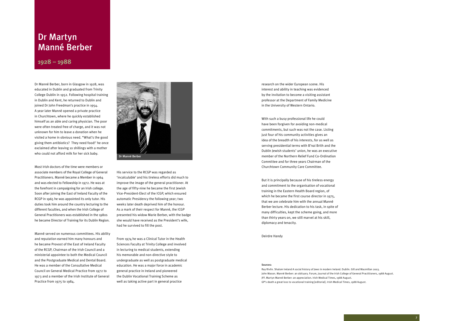Dr Manné Berber, born in Glasgow in 1928, was educated in Dublin and graduated from Trinity College Dublin in 1952. Following hospital training in Dublin and Kent, he returned to Dublin and joined Dr John Freedman's practice in 1954. A year later Manné opened a private practice in Churchtown, where he quickly established himself as an able and caring physician. The poor were often treated free of charge, and it was not unknown for him to leave a donation when he visited a home in obvious need. "What's the good giving them antibiotics? They need food!' he once exclaimed after leaving 10 shillings with a mother who could not afford milk for her sick baby.

Most Irish doctors of the time were members or associate members of the Royal College of General Practitioners. Manné became a Member in 1964 and was elected to Fellowship in 1972. He was at the forefront in campaigning for an Irish college. Soon after joining the East of Ireland Faculty of the RCGP in 1965 he was appointed its only tutor. His duties took him around the country lecturing to the different faculties, and when the Irish College of General Practitioners was established in the 1980s he became Director of Training for its Dublin Region.

Manné served on numerous committees. His ability and reputation earned him many honours and he became Provost of the East of Ireland Faculty of the RCGP, Chairman of the Irish Council and a ministerial appointee to both the Medical Council and the Postgraduate Medical and Dental Board. He was a member of the Consultative Medical Council on General Medical Practice from 1972 to 1973 and a member of the Irish Institute of General Practice from 1975 to 1984.

His service to the RCGP was regarded as 'incalculable' and his tireless efforts did much to improve the image of the general practitioner. At the age of fifty-nine he became the first Jewish Vice-President-Elect of the ICGP, which ensured automatic Presidency the following year; two weeks later death deprived him of the honour. As a mark of their respect for Manné, the ICGP presented his widow Marie Berber, with the badge she would have received as the President's wife, had he survived to fill the post.

From 1974 he was a Clinical Tutor in the Health Sciences Faculty at Trinity College and involved in lecturing to medical students, extending his memorable and non-directive style to undergraduate as well as postgraduate medical education. He was a major force in academic general practice in Ireland and pioneered the Dublin Vocational Training Scheme as well as taking active part in general practice

research on the wider European scene. His interest and ability in teaching was evidenced by the invitation to become a visiting assistant professor at the Department of Family Medicine in the University of Western Ontario.

With such a busy professional life he could have been forgiven for avoiding non-medical commitments, but such was not the case. Listing just four of his community activities gives an idea of the breadth of his interests, for as well as serving presidential terms with B'nai Brith and the Dublin Jewish students' union, he was an executive member of the Northern Relief Fund Co-Ordination Committee and for three years Chairman of the Churchtown Community Care Committee.

But it is principally because of his tireless energy and commitment to the organisation of vocational training in the Eastern Health Board region, of which he became the first course director in 1975, that we are celebrate him with the annual Manné Berber lecture. His dedication to his task, in spite of many difficulties, kept the scheme going, and more than thirty years on, we still marvel at his skill, diplomacy and tenacity.

Deirdre Handy

## Dr Martyn Manné Berber

**1928 – 1988**

#### Sources:

Ray Rivlin. Shalom Ireland A social history of Jews in modern Ireland. Dublin. Gill and Macmillan 2003. John Mason. Manné Berber: an obituary. Forum, Journal of the Irish College of General Practitioners, 1988 August. JFF. Martyn Manné Berber: an appreciation. Irish Medical Times, 1988 August. GP's death a great loss to vocational training [editorial]. Irish Medical Times, 1988 August.

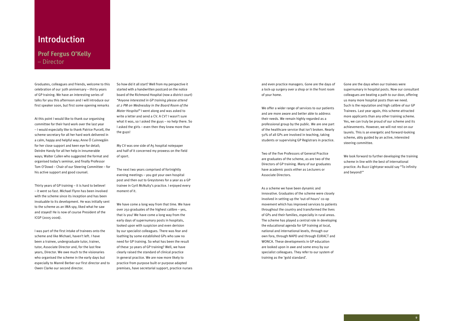Graduates, colleagues and friends, welcome to this celebration of our 30th anniversary – thirty years of GP training. We have an interesting series of talks for you this afternoon and I will introduce our first speaker soon, but first some opening remarks

At this point I would like to thank our organising committee for their hard work over the last year – I would especially like to thank Patrice Purcell, the scheme secretary for all her hard work delivered in a calm, happy and helpful way; Anne Ó Cuinnegáin for her close support and keen eye for detail; Deirdre Handy for all her help in innumerable ways; Walter Cullen who suggested the format and organised today's seminar, and finally Professor Tom O'Dowd – Chair of our Steering Committee – for his active support and good counsel.

Thirty years of GP training – it is hard to believe! – it went so fast. Michael Flynn has been involved with the scheme since its inception and has been invaluable to its development. He was initially sent to the scheme as an IMA spy, liked what he saw and stayed! He is now of course President of the ICGP (2005-2006).

I was part of the first intake of trainees onto the scheme and like Michael, haven't left. I have been a trainee, undergraduate tutor, trainer, tutor, Associate Director and, for the last few years, Director. We owe much to the visionaries who organised the scheme in the early days but especially to Manné Berber our first director and to Owen Clarke our second director.

So how did it all start? Well from my perspective it started with a handwritten postcard on the notice board of the Richmond Hospital (now a district court) *"Anyone interested in GP training please attend at 2 PM on Wednesday in the Board Room of the Mater Hospital"* I went along and was asked to write a letter and send a CV. A CV? I wasn't sure what it was, so I asked the guys – no help there. So I asked the girls – even then they knew more than the guys!

My CV was one side of A5 hospital notepaper and half of it concerned my prowess on the field of sport.

The next two years comprised of fortnightly evening meetings – you got your own hospital post and then out to Greystones for a year as a GP trainee in Cyril McNulty's practice. I enjoyed every moment of it.

We have come a long way from that time. We have over 250 graduates of the highest calibre – yes, that is you! We have come a long way from the early days of supernumary posts in hospitals, looked upon with suspicion and even derision by our specialist colleagues. There was fear and loathing by some established GPs who saw no need for GP training. So what has been the result of these 30 years of GP training? Well, we have clearly raised the standard of clinical practice in general practice. We are now more likely to practice from purpose built or purpose adapted premises, have secretarial support, practice nurses

and even practice managers. Gone are the days of a lock-up surgery over a shop or in the front room of your home.

We offer a wider range of services to our patients and are more aware and better able to address their needs. We remain highly regarded as a professional group by the public. We are one part of the healthcare service that isn't broken. Nearly 50% of all GPs are involved in teaching, taking students or supervising GP Registrars in practice.

Two of the five Professors of General Practice are graduates of the scheme, as are two of the Directors of GP training. Many of our graduates have academic posts either as Lecturers or Associate Directors.

As a scheme we have been dynamic and innovative. Graduates of the scheme were closely involved in setting up the 'out-of-hours' co-op movement which has improved services to patients throughout the country and transformed the lives of GPs and their families, especially in rural areas. The scheme has played a central role in developing the educational agenda for GP training at local, national and international levels, through our own fora, through NAPD and through EURACT and WONCA. These developments in GP education are looked upon in awe and some envy by our specialist colleagues. They refer to our system of training as the 'gold standard'.

Gone are the days when our trainees were supernumary in hospital posts. Now our consultant colleagues are beating a path to our door, offering us many more hospital posts than we need. Such is the reputation and high calibre of our GP Trainees. Last year again, this scheme attracted more applicants than any other training scheme. Yes, we can truly be proud of our scheme and its achievements. However, we will not rest on our laurels. This is an energetic and forward-looking scheme, ably guided by an active, interested steering committee.

We look forward to further developing the training scheme in line with the best of international practice. As Buzz Lightyear would say "To infinity and beyond!"

## Introduction

### **Prof Fergus O'Kelly**  – Director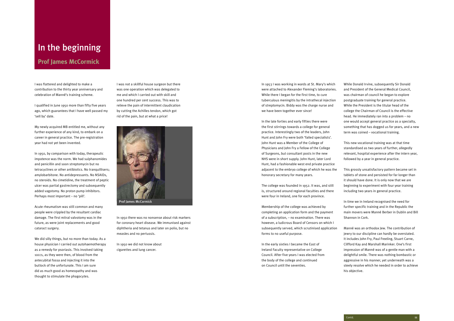I was flattered and delighted to make a contribution to the thirty year anniversary and celebration of Manné's training scheme.

I qualified in June 1950 more than fifty five years ago, which guarantees that I have well passed my 'sell by' date.

My newly acquired MB entitled me, without any further experience of any kind, to embark on a career in general practice. The pre-registration year had not yet been invented.

In 1950, by comparison with today, therapeutic impotence was the norm. We had sulphanomides and penicillin and soon streptomycin but no tetracyclines or other antibiotics. No tranquillisers; amylobarbitone. No antidepressants. No NSAIDs, no steroids. No cimetidine, the treatment of peptic ulcer was partial gastrectomy and subsequently added vagotomy. No proton pump inhibitors. Perhaps most important – no 'pill'.

Acute rheumatism was still common and many people were crippled by the resultant cardiac damage. The first mitral valvotomy was in the future, as were joint replacements and good cataract surgery.

We did silly things, but no more than today. As a house physician I carried out autohaemotherapy as a remedy for psoriasis. This involved taking 10ccs, as they were then, of blood from the antecubital fossa and injecting it into the buttock of the unfortunate. This I am sure did as much good as homeopathy and was thought to stimulate the phagocytes.

I was not a skillful house surgeon but there was one operation which was delegated to me and which I carried out with skill and one hundred per cent success. This was to relieve the pain of intermittent claudication by cutting the Achilles tendon, which got rid of the pain, but at what a price!

In 1950 there was no nonsense about risk markers for coronary heart disease. We immunised against diphtheria and tetanus and later on polio, but no measles and no pertussis.

In 1950 we did not know about cigarettes and lung cancer.

In 1953 I was working in wards at St. Mary's which were attached to Alexander Fleming's laboratories. While there I began for the first time, to cure tuberculous meningitis by the intrathecal injection of streptomycin. Biddy was the charge nurse and we have been together ever since!

In the late forties and early fifties there were the first stirrings towards a college for general practice. Interestingly two of the leaders, John Hunt and John Fry were both 'failed specialists'. John Hunt was a Member of the College of Physicians and John Fry a Fellow of the College of Surgeons, but consultant posts in the new NHS were in short supply. John Hunt, later Lord Hunt, had a fashionable west end private practice adjacent to the embryo college of which he was the honorary secretary for many years.

The college was founded in 1952. It was, and still is, structured around regional faculties and there were four in Ireland, one for each province.

Membership of the college was achieved by completing an application form and the payment of a subscription, – no examination. There was however, a ludicrous Board of Censors on which I subsequently served, which scrutinised application forms to no useful purpose.

In the early sixties I became the East of Ireland Faculty representative on College Council. After five years I was elected from the body of the college and continued on Council until the seventies.

While Donald Irvine, subsequently Sir Donald and President of the General Medical Council, was chairman of council he began to explore postgraduate training for general practice. While the President is the titular head of the college the Chairman of Council is the effective head. He immediately ran into a problem – no one would accept general practice as a specialty, something that has dogged us for years, and a new term was coined – vocational training.

This new vocational training was at that time standardised as two years of further, allegedly relevant, hospital experience after the intern year, followed by a year in general practice.

This grossly unsatisfactory pattern became set in tablets of stone and persisted for far longer than it should have done. It is only now that we are beginning to experiment with four year training including two years in general practice.

In time we in Ireland recognised the need for further specific training and in the Republic the main movers were Manné Berber in Dublin and Bill Shannon in Cork.

Manné was an orthodox Jew. The contribution of jewry to our discipline can hardly be overstated. It includes John Fry, Paul Freeling, Stuart Carne, Clifford Kay and Marshall Marinker. One's first impression of Manné was of a gentle man with a delightful smile. There was nothing bombastic or aggressive in his manner, yet underneath was a steely resolve which he needed in order to achieve his objective.



# In the beginning

### **Prof James McCormick**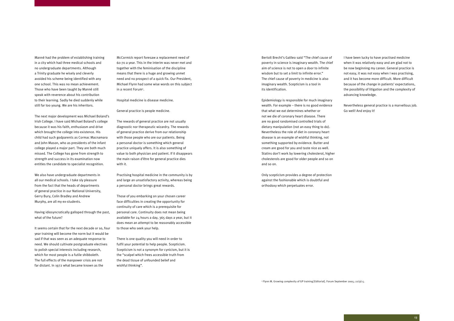Manné had the problem of establishing training in a city which had three medical schools and no undergraduate departments. Although a Trinity graduate he wisely and cleverly avoided his scheme being identified with any one school. This was no mean achievement. Those who have been taught by Manné still speak with reverence about his contribution to their learning. Sadly he died suddenly while still far too young. We are his inheritors.

The next major development was Michael Boland's Irish College. I have said Michael Boland's college because it was his faith, enthusiasm and drive which brought the college into existence. His child had such godparents as Cormac Macnamara and John Mason, who as presidents of the infant college played a major part. They are both much missed. The College has gone from strength to strength and success in its examination now entitles the candidate to specialist recognition.

McCormick report foresaw a replacement need of 60-70 a year. This in the interim was never met and together with the feminisation of the discipline means that there is a huge and growing unmet need and no prospect of a quick fix. Our President, Michael Flynn had some wise words on this subject in a recent Forum<sup>1</sup>.

We also have undergraduate departments in all our medical schools. I take sly pleasure from the fact that the heads of departments of general practice in our National University, Gerry Bury, Colin Bradley and Andrew Murphy, are all my ex-students.

Having idiosyncratically galloped through the past, what of the future?

It seems certain that for the next decade or so, four year training will become the norm but it would be sad if that was seen as an adequate response to need. We should cultivate postgraduate electives to polish special interests including research, which for most people is a futile shibboleth. The full effects of the manpower crisis are not far distant. In 1972 what became known as the

Hospital medicine is disease medicine.

General practice is people medicine.

The rewards of general practice are not usually diagnostic nor therapeutic wizardry. The rewards of general practice derive from our relationship with those people who are our patients. Being a personal doctor is something which general practice uniquely offers. It is also something of value to both physician and patient. If it disappears the main raison d'être for general practice dies with it.

Practising hospital medicine in the community is by and large an unsatisfactory activity, whereas being a personal doctor brings great rewards.

Those of you embarking on your chosen career face difficulties in creating the opportunity for continuity of care which is a prerequisite for personal care. Continuity does not mean being available for 24 hours a day, 365 days a year, but it does mean an attempt to be reasonably accessible to those who seek your help.

There is one quality you will need in order to fulfil your potential to help people. Scepticism. Scepticism is not a synonym for cynicism, but it is the "scalpel which frees accessible truth from the dead tissue of unfounded belief and wishful thinking".

Bertolt Brecht's Galileo said "The chief cause of poverty in science is imaginary wealth. The chief aim of science is not to open a door to infinite wisdom but to set a limit to infinite error." The chief cause of poverty in medicine is also imaginary wealth. Scepticism is a tool in its identification.

Epidemiology is responsible for much imaginary wealth. For example – there is no good evidence that what we eat determines whether or not we die of coronary heart disease. There are no good randomised controlled trials of dietary manipulation (not an easy thing to do). Nevertheless the role of diet in coronary heart disease is an example of wishful thinking, not something supported by evidence. Butter and cream are good for you and taste nice as well. Statins don't work by lowering cholesterol, higher cholesterols are good for older people and so on and so on.

Only scepticism provides a degree of protection against the fashionable which is doubtful and orthodoxy which perpetuates error.

I have been lucky to have practised medicine when it was relatively easy and am glad not to be now beginning my career. General practice is not easy, it was not easy when I was practising, and it has become more difficult. More difficult because of the change in patients' expectations, the possibility of litigation and the complexity of advancing knowledge.

Nevertheless general practice is a marvellous job. Go well! And enjoy it!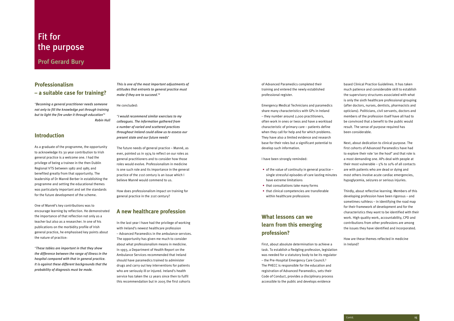### **Professionalism – a suitable case for training?**

*'Becoming a general practitioner needs someone not only to fill the knowledge pot through training but to light the fire under it through education'1 Robin Hull*

#### **Introduction**

As a graduate of the programme, the opportunity to acknowledge its 30 year contribution to Irish general practice is a welcome one. I had the privilege of being a trainee in the then Dublin Regional VTS between 1982 and 1985 and benefited greatly from that opportunity. The leadership of Dr Manné Berber in establishing the programme and setting the educational themes was particularly important and set the standards for the future development of the scheme.

One of Manné's key contributions was to encourage learning by reflection. He demonstrated the importance of that reflection not only as a teacher but also as a researcher. In one of his publications on the morbidity profile of Irish general practice, he emphasised key points about the nature of practice:

*'These tables are important in that they show the difference between the range of illness in the hospital compared with that in general practice. It is against these different backgrounds that the probability of diagnosis must be made.*

*This is one of the most important adjustments of attitudes that entrants to general practice must make if they are to succeed.'2*

He concluded:

*'I would recommend similar exercises to my colleagues. The information gathered from a number of varied and scattered practices throughout Ireland could allow us to assess our present state and our future needs'*

The future needs of general practice – Manné, as ever, pointed us in 1974 to reflect on our roles as general practitioners and to consider how those roles would evolve. Professionalism in medicine is one such role and its importance in the general practice of the 21st century is an issue which I believe Manné would commend to us.

How does professionalism impact on training for general practice in the 21st century?

#### **A new healthcare profession**

In the last year I have had the privilege of working with Ireland's newest healthcare profession – Advanced Paramedics in the ambulance services. The opportunity has given me much to consider about what professionalism means in medicine. In 1993, a Department of Health Report on the Ambulance Services recommended that Ireland should have paramedics trained to administer drugs and carry out key interventions for patients who are seriously ill or injured. Ireland's health service has taken the 12 years since then to fulfil this recommendation but in 2005 the first cohorts

of Advanced Paramedics completed their training and entered the newly established professional register.

Emergency Medical Technicians and paramedics share many characteristics with GPs in Ireland – they number around 2,000 practitioners, often work in ones or twos and have a workload characteristic of primary care – patients define when they call for help and for which problems. They have also a limited evidence and research base for their roles but a significant potential to develop such information.

#### I have been strongly reminded:

- of the value of continuity in general practice single stressful episodes of care lasting minutes have extreme limitations
- that consultations take many forms
- that clinical competencies are transferable within healthcare professions

### **What lessons can we learn from this emerging profession?**

First, about absolute determination to achieve a task. To establish a fledgling profession, legislation was needed for a statutory body to be its regulator – the Pre-Hospital Emergency Care Council.3 The PHECC is responsible for the education and registration of Advanced Paramedics, sets their Code of Conduct, provides a disciplinary process accessible to the public and develops evidence

based Clinical Practice Guidelines. It has taken much patience and considerable skill to establish the supervisory structures associated with what is only the sixth healthcare professional grouping (after doctors, nurses, dentists, pharmacists and opticians). Politicians, civil servants, doctors and members of the profession itself have all had to be convinced that a benefit to the public would result. The sense of purpose required has been considerable.

Next, about dedication to clinical purpose. The first cohorts of Advanced Paramedics have had to explore their role 'on the hoof' and that role is a most demanding one. APs deal with people at their most vulnerable  $-5\%$  to 10% of all contacts are with patients who are dead or dying and most others involve acute cardiac emergencies, hypoglycemia, seizures or serious injuries.

Thirdly, about reflective learning. Members of this developing profession have been rigorous – and sometimes ruthless – in identifying the road map for their framework of development and for the characteristics they want to be identified with their work. High quality work, accountability, CPD and contributions from other professions are among the issues they have identified and incorporated.

How are these themes reflected in medicine in Ireland?

## Fit for the purpose

**Prof Gerard Bury**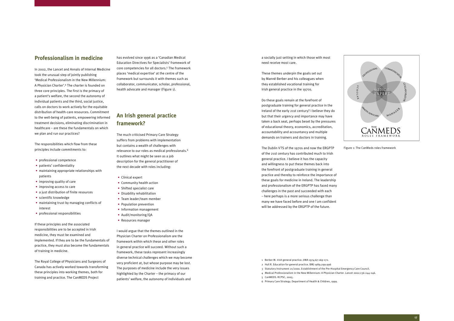#### **Professionalism in medicine**

In 2002, the Lancet and Annals of Internal Medicine took the unusual step of jointly publishing 'Medical Professionalism in the New Millennium: A Physician Charter'.4 The charter is founded on three core principles. The first is the primacy of a patient's welfare, the second the autonomy of individual patients and the third, social justice, calls on doctors to work actively for the equitable distribution of health-care resources. Commitment to the well-being of patients, empowering informed treatment decisions, eliminating discrimination in healthcare – are these the fundamentals on which we plan and run our practices?

The responsibilities which flow from these principles include commitments to:

- professional competence
- patients' confidentiality
- maintaining appropriate relationships with patients
- improving quality of care
- improving access to care
- a just distribution of finite resources
- scientific knowledge
- maintaining trust by managing conflicts of interest
- professional responsibilities

If these principles and the associated responsibilities are to be accepted in Irish medicine, they must be examined and implemented. If they are to be the fundamentals of practice, they must also become the fundamentals of training in medicine.

The Royal College of Physicians and Surgeons of Canada has actively worked towards transforming these principles into working themes, both for training and practice. The CanMEDS Project

has evolved since 1996 as a 'Canadian Medical Education Directives for Specialists' framework of core competencies for all doctors.5 The framework places 'medical expertise' at the centre of the framework but surrounds it with themes such as collaborator, communicator, scholar, professional, health advocate and manager (Figure 1).

### **An Irish general practice framework?**

The much criticised Primary Care Strategy suffers from problems with implementation but contains a wealth of challenges with relevance to our roles as medical professionals.6 It outlines what might be seen as a job description for the general practitioner of the next decade with roles including:

- Clinical expert
- Community health action
- Shifted specialist care
- Disability rehabilitation
- Team leader/team member
- Population prevention
- Information management
- Audit/monitoring/QA
- Resources manager

I would argue that the themes outlined in the Physician Charter on Professionalism are the framework within which these and other roles in general practice will succeed. Without such a framework, these tasks represent increasingly diverse technical challenges which we may become very proficient at, but whose purpose may be lost. The purposes of medicine include the very issues highlighted by the Charter – the primacy of our patients' welfare, the autonomy of individuals and

a socially just setting in which those with most need receive most care.

These themes underpin the goals set out by Manné Berber and his colleagues when they established vocational training for Irish general practice in the 1970s.

Do these goals remain at the forefront of postgraduate training for general practice in the Ireland of the early 21st century? I believe they do but that their urgency and importance may have taken a back seat, perhaps beset by the pressures of educational theory, economics, accreditation, accountability and accountancy and multiple demands on trainers and doctors in training.

The Dublin VTS of the 1970s and now the ERGPTP of the 21st century has contributed much to Irish general practice. I believe it has the capacity and willingness to put these themes back into the forefront of postgraduate training in general practice and thereby to reinforce the importance of these goals for medicine in Ireland. The leadership and professionalism of the ERGPTP has faced many challenges in the past and succeeded with each – here perhaps is a more serious challenge than many we have faced before and one I am confident will be addressed by the ERGPTP of the future.

- 3 Statutory Instrument 21/2000. Establishment of the Pre-Hospital Emergency Care Council.
	- 4 Medical Professionalism in the New Millennium: A Physician Charter. Lancet 2002;136:244-246.
- 5 CanMEDS. RCPSC, 2005.
- 6 Primary Care Strategy. Department of Health & Children, 1999.



Figure 1: The CanMeds roles framework

<sup>1</sup> Berber M. Irish general practice. JIMA 1974;67:169-172. 2 Hull R. Education for general practice. BMJ 1989;299:996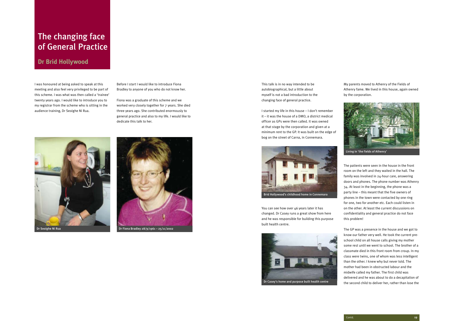I was honoured at being asked to speak at this meeting and also feel very privileged to be part of this scheme. I was what was then called a 'trainee' twenty years ago. I would like to introduce you to my registrar from the scheme who is sitting in the audience training, Dr Seoighe Ni Rua.

Before I start I would like to introduce Fiona Bradley to anyone of you who do not know her.

Fiona was a graduate of this scheme and we worked very closely together for 7 years. She died three years ago. She contributed enormously to general practice and also to my life. I would like to dedicate this talk to her.

This talk is in no way intended to be autobiographical, but a little about myself is not a bad introduction to the changing face of general practice.

I started my life in this house – I don't remember it – it was the house of a DMO, a district medical officer as GPs were then called. It was owned at that stage by the corporation and given at a minimum rent to the GP. It was built on the edge of bog on the street of Carna, in Connemara.

You can see how over 46 years later it has changed. Dr Casey runs a great show from here and he was responsible for building this purpose built health centre.

My parents moved to Athenry of the Fields of Athenry fame. We lived in this house, again owned by the corporation.

The patients were seen in the house in the front room on the left and they waited in the hall. The family was involved in 24-hour care, answering doors and phones. The phone number was Athenry 34. At least in the beginning, the phone was a party line – this meant that the five owners of phones in the town were contacted by one ring for one, two for another etc. Each could listen in on the other. At least the current discussions on confidentiality and general practice do not face this problem!

The GP was a presence in the house and we got to know our father very well. He took the current preschool child on all house calls giving my mother some rest until we went to school. The brother of a classmate died in this front room from croup. In my class were twins, one of whom was less intelligent than the other. I knew why but never told. The mother had been in obstructed labour and the midwife called my father. The first child was delivered and he was about to do a decapitation of the second child to deliver her, rather than lose the

## The changing face of General Practice

#### **Dr Brid Hollywood**









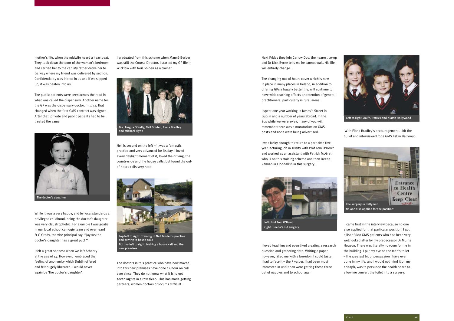mother's life, when the midwife heard a heartbeat. They took down the door of the woman's bedroom and carried her to the car. My father drove her to Galway where my friend was delivered by section. Confidentiality was inbred in us and if we slipped up, it was beaten into us.

The public patients were seen across the road in what was called the dispensary. Another name for the GP was the dispensary doctor. In 1972, that changed when the first GMS contract was signed. After that, private and public patients had to be treated the same.

While it was a very happy, and by local standards a privileged childhood, being the doctor's daughter was very claustrophobic. For example I was goalie in our local school camogie team and overheard Fr O Grady, the vice principal say, ''Jaysus the doctor's daughter has a great puc! ''

I felt a great sadness when we left Athenry at the age of 14. However, I embraced the feeling of anonymity which Dublin offered and felt hugely liberated. I would never again be 'the doctor's daughter'.

I graduated from this scheme when Manné Berber was still the Course Director. I started my GP life in Wicklow with Neil Golden as a trainer.

Neil is second on the left – it was a fantastic practice and very advanced for its day. I loved every daylight moment of it, loved the driving, the countryside and the house calls, but found the outof-hours calls very hard.

The doctors in this practice who have now moved into this new premises have done 24 hour on call ever since. They do not know what it is to get seven nights in a row sleep. This has made getting partners, women doctors or locums difficult.

Next Friday they join Carlow Doc, the nearest co-op and Dr Nick Byrne tells me he cannot wait. His life will entirely change.

The changing out-of-hours cover which is now in place in many places in Ireland, in addition to offering GPs a hugely better life, will continue to have wide reaching effects on retention of general practitioners, particularly in rural areas.

I spent one year working in James's Street in Dublin and a number of years abroad. In the 80s while we were away, many of you will remember there was a moratorium on GMS posts and none were being advertised.

I was lucky enough to return to a part-time five year lecturing job in Trinity with Prof Tom O'Dowd and worked as an assistant with Patrick McGrath who is on this training scheme and then Deena Ramiah in Clondalkin in this surgery.

I loved teaching and even liked creating a research question and gathering data. Writing a paper however, filled me with a boredom I could taste. I had to face it – the P values I had been most interested in until then were getting these three out of nappies and to school age.

 With Fiona Bradley's encouragement, I bit the bullet and interviewed for a GMS list in Ballymun.

 I came first in the interview because no one else applied for that particular position. I got a list of 600 GMS patients who had been very well looked after by my predecessor Dr Muiris Houson. There was literally no room for me in the building. I put my eye on the men's toilet – the greatest bit of persuasion I have ever done in my life, and I would not mind it on my epitaph, was to persuade the health board to allow me convert the toilet into a surgery.



The doctor's daughter



Drs. Fergus O'Kelly, Neil Golden, Fiona Bradley and Michael Flynn



Top left to right: Training in Neil Golden's practice and driving to house calls Bottom left to right: Making a house call and the new premises



Right: Deena's old surgery



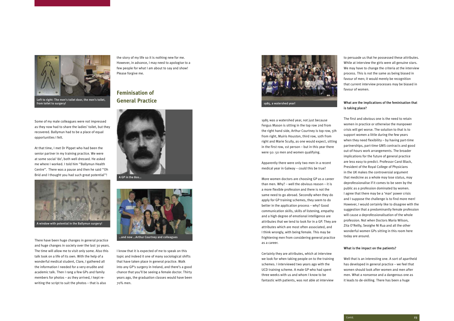Some of my male colleagues were not impressed as they now had to share the ladies' toilet, but they recovered. Ballymun had to be a place of equal opportunities I felt.

At that time, I met Dr Pippet who had been the senior partner in my training practice. We were at some social 'do', both well dressed. He asked me where I worked. I told him ''Ballymun Health Centre''. There was a pause and then he said ''Oh Brid and I thought you had such great potential''!

There have been huge changes in general practice and huge changes in society over the last 30 years. The time will allow me to visit only some. Also this talk took on a life of its own. With the help of a wonderful medical student, Clare, I gathered all the information I needed for a very erudite and academic talk. Then I rang a few GPs and family members for photos – as they arrived, I kept rewriting the script to suit the photos – that is also

the story of my life so it is nothing new for me. However, in advance, I may need to apologise to a few people for what I am about to say and show! Please forgive me.

### **Feminisation of General Practice**

I know that it is expected of me to speak on this topic and indeed it one of many sociological shifts that have taken place in general practice. Walk into any GP's surgery in Ireland, and there's a good chance that you'll be seeing a female doctor. Thirty years ago, the graduation classes would have been 70% men.

1985 was a watershed year, not just because Fergus Mason is sitting in the top row 2nd from the right hand side, Arthur Courtney is top row, 5th from right, Muiris Houston, third row, 10th from right and Marie Scully, as one would expect, sitting in the first row, 1st person – but in this year there were 50: 50 men and women qualifying.

Apparently there were only two men in a recent medical year in Galway – could this be true?

More women doctors are choosing GP as a career than men. Why? – well the obvious reason – it is a more flexible profession and there is not the same need to go abroad. Secondly when they do apply for GP training schemes, they seem to do better in the application process – why? Good communication skills, skills of listening, empathy and a high degree of emotional intelligence are attributes that we tend to look for in a GP. They are attributes which are most often associated, and I think wrongly, with being female. This may be frightening men from considering general practice as a career.

Certainly they are attributes, which at interview we look for when taking people on to the training schemes. I interviewed two years ago with the UCD training scheme. A male GP who had spent three weeks with us and whom I know to be fantastic with patients, was not able at interview

to persuade us that he possessed these attributes. While at interview the girls were all genuine stars. We may have to change the criteria at the interview process. This is not the same as being biased in favour of men; it would merely be recognition that current interview processes may be biased in favour of women.

#### What are the implications of the feminisation that is taking place?

The first and obvious one is the need to retain women in practice or otherwise the manpower crisis will get worse. The solution to that is to support women a little during the few years when they need flexibility – by having part-time partnerships, part-time GMS contracts and good out-of-hours work arrangements. The broader implications for the future of general practice are less easy to predict. Professor Carol Black, President of the Royal College of Physicians in the UK makes the controversial argument that medicine as a whole may lose status, may deprofessionalise if it comes to be seen by the public as a profession dominated by women. I agree that there may be a 'man' power crisis and I suppose the challenge is to find more men! However, I would certainly like to disagree with the suggestion that a predominantly female profession will cause a deprofessionalisation of the whole profession. Not when Doctors Maria Wilson, Zita O'Reilly, Seoighe Ni Rua and all the other wonderful women GPs sitting in this room here today are around.

#### What is the impact on the patients?

Well that is an interesting one. A sort of apartheid has developed in general practice – we feel that women should look after women and men after men. What a nonsense and a dangerous one as it leads to de-skilling. There has been a huge



Left to right: The men's toilet door, the men's toilet, from toilet to surgery!







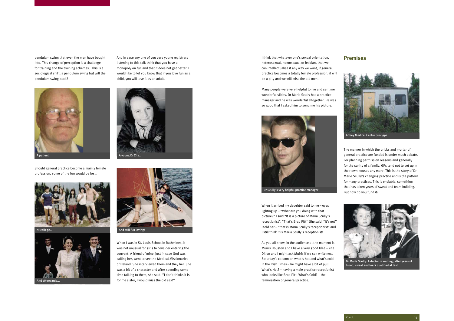pendulum swing that even the men have bought into. This change of perception is a challenge for training and the training schemes. This is a sociological shift, a pendulum swing but will the pendulum swing back?

And in case any one of you very young registrars listening to this talk think that you have a monopoly on fun and that it does not get better, I would like to let you know that if you love fun as a child, you will love it as an adult.

When I was in St. Louis School in Rathmines, it was not unusual for girls to consider entering the convent. A friend of mine, just in case God was calling her, went to see the Medical Missionaries of Ireland. She interviewed them and they her. She was a bit of a character and after spending some time talking to them, she said. ''I don't thinks it is for me sister, I would miss the old sex!''

I think that whatever one's sexual orientation, heterosexual, homosexual or lesbian, that we can intellectualise it any way we want, if general practice becomes a totally female profession, it will be a pity and we will miss the old men.

Many people were very helpful to me and sent me wonderful slides. Dr Maria Scully has a practice manager and he was wonderful altogether. He was so good that I asked him to send me his picture.



Should general practice become a mainly female profession, some of the fun would be lost.

When it arrived my daughter said to me – eyes lighting up – "What are you doing with that picture?" I said "It is a picture of Maria Scully's receptionist". "That's Brad Pitt'' She said. "It's not'' I told her – "that is Maria Scully's receptionist" and I still think it is Maria Scully's receptionist!

As you all know, in the audience at the moment is Muiris Houston and I have a very good Idea – Zita Dillon and I might ask Muiris if we can write next Saturday's column on what's hot and what's cold in the Irish Times – he might have a bit of pull. What's Hot? – having a male practice receptionist who looks like Brad Pitt. What's Cold? – the feminisation of general practice.

#### **Premises**

The manner in which the bricks and mortar of general practice are funded is under much debate. For planning permission reasons and generally for the sanity of a family, GPs tend not to set up in their own houses any more. This is the story of Dr Marie Scully's changing practice and is the pattern for many practices. This is enviable, something that has taken years of sweat and team building. But how do you fund it?



At college…



And afterwards...







Dr Scully's very helpful practice manager





Dr Marie Scully: A doctor in waiting; after years of blood, sweat and tears qualified at last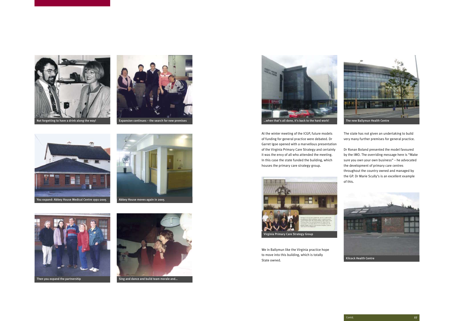At the winter meeting of the ICGP, future models of funding for general practice were debated. Dr Garret Igoe opened with a marvellous presentation of the Virginia Primary Care Strategy and certainly it was the envy of all who attended the meeting. In this case the state funded the building, which houses the primary care strategy group.

The state has not given an undertaking to build very many further premises for general practice.

Dr Ronan Boland presented the model favoured by the IMO. The overriding message here is "Make sure you own your own business" – he advocated the development of primary care centres throughout the country owned and managed by the GP. Dr Marie Scully's is an excellent example of this.



We in Ballymun like the Virginia practice hope to move into this building, which is totally State owned.













Sing and dance and build team morale and…





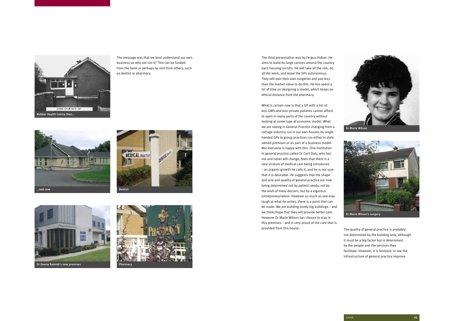The message was that we best understand our own business so why not run it? This can be funded from the bank or perhaps by rent from others, such as dentist or pharmacy.

The third presentation was by Fergus Hoban. He aims to build 60 large centres around the country each housing six GPs. He will take all the risk, do all the work, and leave the GPs autonomous. They will own their own surgeries and pay less than the market value to do this. He has spent a lot of time on designing a model, which keeps an ethical distance from the pharmacy.

What is certain now is that a GP with a list of 600 GMS and 600 private patients cannot afford to open in many parts of the country without looking at some type of economic model. What we are seeing is General Practice changing from a cottage industry run in our own houses by single handed GPs to group practices run either in state owned premises or as part of a business model. Not everyone is happy with this. One institution in general practice called Dr Cyril Daly, who has not and never will change, feels that there is a new stratum of medical care being introduced – an organic growth he calls it, and he is not sure that it is desirable. He suggests that the shape and size and quality of general practice are now being determined not by patient needs, not by the wish of many doctors, but by a vigorous entrepreneurialism. However as much as one may laugh at what he writes, there is a point that can be made. We are building lovely big buildings – and we think/hope that they will provide better care. However Dr Marie Wilson has chosen to stay in this premises – and is very proud of the care that is provided from this house.

The quality of general practice is probably not determined by the building only, although it must be a big factor but is determined by the people and the services they facilitate. However, it is fantastic to see the infrastructure of general practice improve.













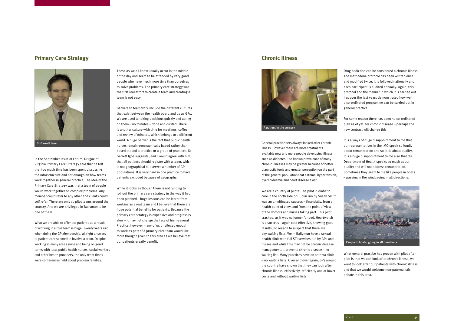#### **Primary Care Strategy**

In the September issue of Forum, Dr Igoe of Virginia Primary Care Strategy said that he felt that too much time has been spent discussing the infrastructure and not enough on how teams work together in general practice. The idea of the Primary Care Strategy was that a team of people would work together on complex problems. Any member could refer to any other and clients could self refer. There are only 10 pilot teams around the country. And we are privileged in Ballymun to be one of them.

What we are able to offer our patients as a result of working in a true team is huge. Twenty years ago when doing the GP Membership, all right answers to patient care seemed to involve a team. Despite working in many areas since and being on good terms with local public health nurses, social workers and other health providers, the only team times were conferences held about problem families.

These as we all know usually occur in the middle of the day and seem to be attended by very good people who have much more time than ourselves to solve problems. The primary care strategy was the first real effort to create a team and creating a team is not easy.

Barriers to team work include the different cultures that exist between the health board and us as GPs. We are used to taking decisions quickly and acting on them – no minutes – done and dusted. There is another culture with time for meetings, coffee, and review of minutes, which belongs to a different world. A huge barrier is the fact that public health nurses remain geographically based rather than based around a practice or a group of practices. Dr Garrett Igoe suggests, and I would agree with him, that all patients should register with a team, which is not geographical but serves a number of GP populations. It is very hard in one practice to have patients excluded because of geography.

> We are a country of pilots. The pilot in diabetic care in the north side of Dublin run by Susan Smith was an unmitigated success – financially, from a health point of view, and from the point of view of the doctors and nurses taking part. This pilot crashed, as it was no longer funded. Heartwatch is a success – again cost effective, showing good results, no reason to suspect that there are any waiting lists. We in Ballymun have a sexual health clinic with full STI services run by GPs and nurses and while this may not be chronic disease management, it prevents chronic disease – no waiting list. Many practices have an asthma clinic – no waiting lists. Over and over again, GPs around the country have shown that they can look after chronic illness, effectively, efficiently and at lower costs and without waiting lists.

While it looks as though there is not funding to roll out the primary care strategy in the way it had been planned – huge lessons can be learnt from working as a real team and I believe that there are huge potential benefits for patients. Because the primary care strategy is expensive and progress is slow – it may not change the face of Irish General Practice, however many of us privileged enough to work as part of a primary care team would like more thought given to this area as we believe that our patients greatly benefit.

#### **Chronic Illness**

General practitioners always looked after chronic illness. However there are more treatments available now and more people developing illness such as diabetes. The known prevalence of many chronic illnesses may be greater because of better diagnostic tools and greater perception on the part of the general population that asthma, hypertension, hyerlipidaemia and heart disease exist.

Drug addiction can be considered a chronic illness. The methadone protocol has been written once and modified twice. It is followed nationally and each participant is audited annually. Again, this protocol and the manner in which it is carried out has over the last years demonstrated how well a co-ordinated programme can be carried out in general practice.

For some reason there has been no co-ordinated plan as of yet, for chronic disease – perhaps the new contract will change this.

It is always of huge disappointment to me that our representatives in the IMO speak so loudly about remuneration and so little about quality. It is a huge disappointment to me also that the Department of Health speaks so much about quality and will not address remuneration. Sometimes they seem to me like people in boats – passing in the wind, going in all directions.

What general practice has proven with pilot after pilot is that we can look after chronic illness, we want to look after our patients with chronic illness and that we would welcome non-paternalistic debate in this area.





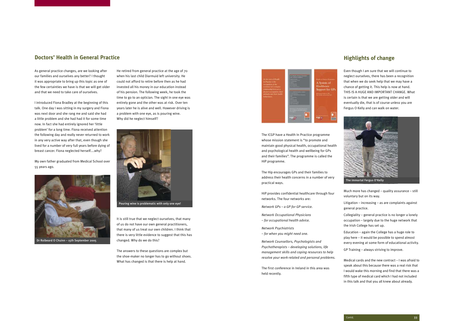As general practice changes, are we looking after our families and ourselves any better? I thought it was appropriate to bring up this topic as one of the few certainties we have is that we will get older and that we need to take care of ourselves.

I introduced Fiona Bradley at the beginning of this talk. One day I was sitting in my surgery and Fiona was next door and she rang me and said she had a little problem and she had had it for some time now. In fact she had entirely ignored her 'little problem' for a long time. Fiona received attention the following day and really never returned to work in any very active way after that, even though she lived for a number of very full years before dying of breast cancer. Fiona neglected herself....why?

My own father graduated from Medical School over 55 years ago.

He retired from general practice at the age of 70 when his last child Diarmuid left university. He could not afford to retire before then as he had invested all his money in our education instead of his pension. The following week, he took the time to go to an optician. The sight in one eye was entirely gone and the other was at risk. Over ten years later he is alive and well. However driving is a problem with one eye, as is pouring wine. Why did he neglect himself?

It is still true that we neglect ourselves, that many of us do not have our own general practitioners, that many of us treat our own children. I think that there is very little evidence to suggest that this has changed. Why do we do this?

The answers to these questions are complex but the shoe-maker no longer has to go without shoes. What has changed is that there is help at hand.



The ICGP have a Health In Practice programme whose mission statement is "to promote and maintain good physical health, occupational health and psychological health and wellbeing for GPs and their families". The programme is called the HiP programme.

The Hip encourages GPs and their families to address their health concerns in a number of very practical ways.

HiP provides confidential healthcare through four networks. The four networks are:

*Network GPs – a GP for GP service.*

*Network Occupational Physicians – for occupational health advice.*

*Network Psychiatrists – for when you might need one.*

*Network Counsellors, Psychologists and Psychotherapists – developing solutions, life management skills and coping resources to help resolve your work-related and personal problems.*

The first conference in Ireland in this area was held recently.

### **Highlights of change**

Even though I am sure that we will continue to neglect ourselves, there has been a recognition that when we do seek help that we may have a chance of getting it. This help is now at hand. THIS IS A HUGE AND IMPORTANT CHANGE. What is certain is that we are getting older and will eventually die, that is of course unless you are Fergus O Kelly and can walk on water.

Much more has changed – quality assurance – still voluntary but on its way.

Litigation – increasing – as are complaints against general practice.

Collegiality – general practice is no longer a lonely occupation – largely due to the huge network that the Irish College has set up.

Education – again the College has a huge role to play here – it would be possible to spend almost every evening at some form of educational activity.

GP Training – always striving to improve.

Medical cards and the new contract – I was afraid to speak about this because there was a real risk that I would wake this morning and find that there was a fifth type of medical card which I had not included in this talk and that you all knew about already.



Dr Roibeard O Chuinn – 15th September 2005





#### **Doctors' Health in General Practice**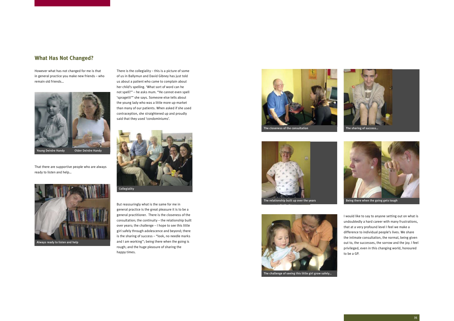I would like to say to anyone setting out on what is undoubtedly a hard career with many frustrations, that at a very profound level I feel we make a difference to individual people's lives. We share the intimate consultation, the normal, being given out to, the successes, the sorrow and the joy. I feel privileged, even in this changing world, honoured to be a GP.

#### **What Has Not Changed?**

However what has not changed for me is that in general practice you make new friends – who remain old friends…

There is the collegiality – this is a picture of some of us in Ballymun and David Gibney has just told us about a patient who came to complain about her child's spelling. 'What sort of word can he not spell?" – he asks mum. "He cannot even spell 'spragetti'" she says. Someone else tells about the young lady who was a little more up-market than many of our patients. When asked if she used contraception, she straightened up and proudly said that they used 'condominiums'.

That there are supportive people who are always ready to listen and help…



But reassuringly what is the same for me in general practice is the great pleasure it is to be a general practitioner. There is the closeness of the consultation; the continuity – the relationship built over years; the challenge – I hope to see this little girl safely through adolescence and beyond; there is the sharing of success – "look, no needle marks and I am working''; being there when the going is rough; and the huge pleasure of sharing the happy times.















Being there when the going gets tough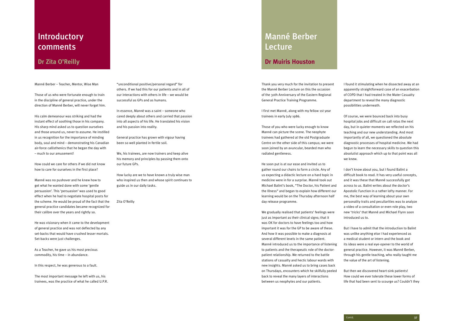Manné Berber – Teacher, Mentor, Wise Man

Those of us who were fortunate enough to train in the discipline of general practice, under the direction of Manné Berber, will never forget him.

His calm demeanour was striking and had the instant effect of soothing those in his company. His sharp mind asked us to question ourselves and those around us, never to assume. He instilled in us recognition for the importance of minding body, soul and mind – demonstrating his Canadian air-force callisthenics that he began the day with – much to our amusement!

How could we care for others if we did not know how to care for ourselves in the first place?

Manné was no pushover and he knew how to get what he wanted done with some 'gentle persuasion'. This 'persuasion' was used to good effect when he had to negotiate hospital posts for the scheme. He would be proud of the fact that the general practice candidates became recognized for their calibre over the years and rightly so.

He was visionary when it came to the development of general practice and was not deflected by any set-backs that would have crushed lesser mortals. Set-backs were just challenges.

As a Teacher, he gave us his most precious commodity, his time – in abundance.

In this respect, he was generous to a fault.

The most important message he left with us, his trainees, was the practice of what he called U.P.R. "unconditional positive/personal regard" for others. If we had this for our patients and in all of our interactions with others in life – we would be successful as GPs and as humans.

In essence, Manné was a saint – someone who cared deeply about others and carried that passion into all aspects of his life. He translated his vision and his passion into reality.

General practice has grown with vigour having been so well planted in fertile soil.

We, his trainees, are now trainers and keep alive his memory and principles by passing them onto our future GPs.

How lucky are we to have known a truly wise man who inspired us then and whose spirit continues to guide us in our daily tasks.

Zita O'Reilly

Thank you very much for the invitation to present the Manné Berber Lecture on this the occasion of the 30th Anniversary of the Eastern Regional General Practice Training Programme.

I first met Manné, along with my fellow 1st year trainees in early July 1986.

Those of you who were lucky enough to know Manné can picture the scene. The neophyte trainees had gathered at the old Postgraduate Centre on the other side of this campus; we were soon joined by an avuncular, bearded man who radiated gentleness.

He soon put is at our ease and invited us to gather round our chairs to form a circle. Any of us expecting a didactic lecture on a hard topic in medicine were in for a surprise. Manné took out Michael Balint's book, "The Doctor, his Patient and the Illness" and began to explain how different our learning would be on the Thursday afternoon half day release programme.

We gradually realised that patients' feelings were just as important as their clinical signs; that it was OK for doctors to have feelings too and how important it was for the GP to be aware of these. And how it was possible to make a diagnosis at several different levels in the same patient. Manné introduced us to the importance of listening to patients and the therapeutic role of the doctorpatient relationship. We returned to the battle stations of casualty and hectic labour wards with new insights. Manné asked us to bring cases back on Thursdays, encounters which he skilfully peeled back to reveal the many layers of interactions between us neophytes and our patients.

I found it stimulating when he dissected away at an apparently straightforward case of an exacerbation of COPD that I had treated in the Mater Casualty department to reveal the many diagnostic possibilities underneath.

Of course, we were bounced back into busy hospital jobs and difficult on call rotas the next day, but in quieter moments we reflected on his teaching and our new understanding. And most importantly of all, we questioned the absolute diagnostic processes of hospital medicine. We had begun to learn the necessary skills to question this absolutist approach which up to that point was all we knew.

I don't know about you, but I found Balint a difficult book to read. It has very useful concepts, and it was these that Manné successfully got across to us. Balint writes about the doctor's Apostolic Function in a rather lofty manner. For me, the best way of learning about your own personality traits and peculiarities was to analyze a video of a consultation or even role play, two new 'tricks' that Manné and Michael Flynn soon introduced us to.

But I have to admit that the introduction to Balint was unlike anything else I had experienced as a medical student or intern and the book and its ideas were a real eye-opener to the world of general practice. However, it was Manné Berber, through his gentle teaching, who really taught me the value of the art of listening.

But then we discovered heart-sink patients! How could we ever tolerate these lower forms of life that had been sent to scourge us? Couldn't they

## Introductory comments

#### **Dr Zita O'Reilly**

## Manné Berber Lecture

#### **Dr Muiris Houston**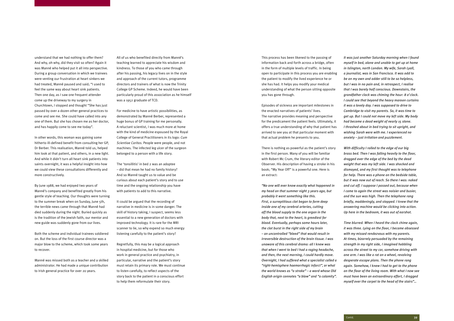understand that we had nothing to offer them? And why, oh why, did they visit so often? Again it was Manné who helped put it all into perspective. During a group conversation in which we trainees were venting our frustration at heart sinkers we had treated, Manné paused and said; "I used to feel the same way about heart sink patients. Then one day, as I saw one frequent attender come up the driveway to my surgery in Churchtown, I stopped and thought "She has just passed by over a dozen other general practices to come and see me. She could have called into any one of them. But she has chosen me as her doctor, and has happily come to see me today".

In other words, this woman was gaining some hitherto ill-defined benefit from consulting her GP, Dr Berber. This realisation, Manné told us, helped him look at that patient, and others, in a new light. And while it didn't turn all heart sink patients into saints overnight, it was a helpful insight into how we could view these consultations differently and more constructively.

By June 1988, we had enjoyed two years of Manné's company and benefited greatly from his gentle style of teaching. Our thoughts were turning to the summer break when on Sunday, June 5th, the terrible news came through that Manné had died suddenly during the night. Buried quickly as is the tradition of the Jewish faith, our mentor and new guide was suddenly gone from our lives.

Both the scheme and individual trainees soldiered on. But the loss of the first course director was a major blow to the scheme, which took some years to recover.

Manné was missed both as a teacher and a skilled administrator. He had made a unique contribution to Irish general practice for over 20 years.

All of us who benefited directly from Manné's teaching learned to appreciate his wisdom and kindness. To those of you who came through after his passing, his legacy lives on in the style and approach of the current tutors, programme directors and trainers of what is now the Trinity College GP Scheme. Indeed, he would have been particularly proud of this association as he himself was a 1952 graduate of TCD.

For medicine to have artistic possibilities, as demonstrated by Manné Berber, represented a huge bonus of GP training for me personally. A reluctant scientist, I was much more at home with the kind of medicine espoused by the Royal College of General Practitioners in its logo: *Cum Scientiae Caritas*. People were people, and not machines. The infected leg ulcer of the surgeon belonged to a person with a life story.

The 'tonsillitis' in bed 2 was an adoptee – did that mean he had no family history? And so Manné taught us to value and be curious about each patient's story and to use time and the ongoing relationship you have with patients to add to this narrative.

It could be argued that the recording of narrative in medicine is in some danger. The skill of history taking, I suspect, seems less essential to a new generation of doctors with improved technology. It is rare for the MRI scanner to lie, so why expend so much energy listening carefully to the patient's story?

Regretfully, this may be a logical approach in hospital medicine, but for those who work in general practice and psychiatry, in particular, narrative and the patient's story must retain its primary role. We must continue to listen carefully, to reflect aspects of the story back to the patient in a conscious effort to help them reformulate their story.

This process has been likened to the passing of information back and forth across a bridge, often in the form of multiple levels of traffic. In being open to participate in this process you are enabling the patient to modify the lived experience he or she has had. It helps you modify your medical understanding of what the person sitting opposite you has gone through.

Episodes of sickness are important milestones in the enacted narratives of patients' lives. The narrative provides meaning and perspective for the predicament the patient feels. Ultimately, it offers a true understanding of why that patient has arrived to see you at that particular moment with that actual problem he presents to you.

There is nothing as powerful as the patient's story in the first person. Many of you will be familiar with Robert Mc Crum, the literary editor of the Observer. His description of having a stroke in his book; "My Year Off" is a powerful one. Here is an extract:

*"No one will ever know exactly what happened in my head on that summer night 3 years ago, but probably it went something like this. First, a surreptitious clot began to form deep inside one of my cerebral arteries, cutting off the blood supply to the one organ in the body that, next to the heart, is greediest for blood. Eventually, perhaps some hours later, the clot burst in the right side of my brain – an uncontrolled "bleed" that would result in irreversible destruction of the brain tissue. I was unaware of this cerebral drama: all I knew was that when I went to bed I had a raging headache, and then, the next morning, I could hardly move. Overnight, I had suffered what a specialist called a "right-hemisphere haemorrhagic infarct", or what the world knows as "a stroke" – a word whose Old English origin connotes "a blow" and "a calamity".*  *It was just another Saturday morning when I found myself in bed, alone and unable to get up at home in Islington, north London. My wife, Sarah Lyall, a journalist, was in San Francisco. It was odd to be on my own and odder still to be so helpless, but I was in no pain and, in retrospect, I realise that I was barely half conscious. Downstairs, the grandfather clock was chiming the hour: 8 o'clock. I could see that beyond the heavy maroon curtains it was a lovely day. I was supposed to drive to Cambridge to visit my parents. So, it was time to get up. But I could not move my left side. My body had become a dead weight of nearly 15 stone. I thrashed about in bed trying to sit upright, and wishing Sarah were with me. I experienced no anxiety – just irritation and puzzlement.* 

*With difficulty I rolled to the edge of our big brass bed. Then I was falling heavily to the floor, dragged over the edge of the bed by the dead weight that was my left side. I was shocked and dismayed, and my first thought was to telephone for help. There was a phone on the bedside table, but it was now out of reach. So there I was: naked and cut off. I suppose I passed out, because when I came to again the street was noisier and busier, and the sun was high. Then the telephone rang briefly, maddeningly, and stopped. I knew that the answering machine would be clicking into action. Up here in the bedroom, it was out of earshot.*

*Time blurred. When I heard the clock chime again, it was three. Lying on the floor, I became obsessed with my missed rendezvous with my parents. At times, bizarrely persuaded by the remaining strength in my right side, I imagined hobbling across the street to my car, somehow driving with one arm. I was like a rat on a wheel, revolving desperate escape plans. Then the phone rang again. Somehow, I knew I had to get to the phone on the floor of the living room. With what I now see must have been an extraordinary effort, I dragged myself over the carpet to the head of the stairs"…*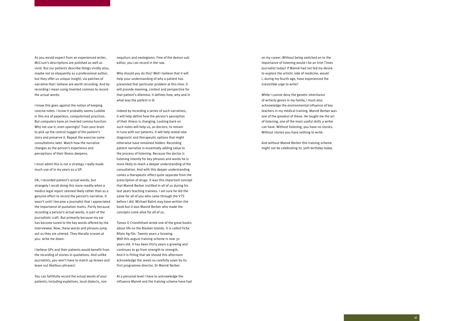As you would expect from an experienced writer, McCrum's descriptions are polished as well as vivid. But our patients describe things vividly also; maybe not as eloquently as a professional author, but they offer us unique insight, via patches of narrative that I believe are worth recording. And by recording I mean using inverted commas to record the actual words.

I know this goes against the notion of keeping concise notes. I know it probably seems Luddite in this era of paperless, computerised practices. But computers have an inverted comma function. Why not use it, even sparingly? Train your brain to pick up the central nugget of the patient's story and preserve it. Repeat the exercise some consultations later. Watch how the narrative changes as the person's experience and perceptions of their illness deepens.

I must admit this is not a strategy I really made much use of in my years as a GP.

OK, I recorded patient's actual words, but strangely I recall doing this more readily when a medico legal report seemed likely rather than as a genuine effort to record the person's narrative. It wasn't until I became a journalist that I appreciated the importance of quotation marks. Partly because recording a person's actual words, is part of the journalistic craft. But primarily because my ear has become tuned to the key words offered by the interviewee. Now, these words and phrases jump out as they are uttered. They literally scream at you: write me down.

I believe GPs and their patients would benefit from the recording of stories in quotations. And unlike journalists, you won't have to match up tenses and leave out libellous phrases!

You can faithfully record the actual words of your patients, including expletives, local dialects, non

sequiturs and neologisms. Free of the demon sub editor, you can record in the raw.

Why should you do this? Well I believe that it will help your understanding of why a patient has presented that particular problem at this time. It will provide meaning, context and perspective for that patient's dilemma. It defines how, why and in what way the patient is ill.

Indeed by recording a series of such narratives, it will help define how the person's perception of their illness is changing. Looking back on such notes will help us, as doctors, to remain in tune with our patients. It will help reveal new diagnostic and therapeutic options that might otherwise have remained hidden. Recording patient narrative is essentially adding value to the process of listening. Because the doctor is listening intently for key phrases and words he is more likely to reach a deeper understanding of the consultation. And with this deeper understanding comes a therapeutic effect quite separate from the prescription of drugs. It was this important concept that Manné Berber instilled in all of us during his last years teaching trainees. I am sure he did the same for all of you who came through the VTS before I did. Michael Balint may have written the book but it was Manné Berber who made the concepts come alive for all of us.

Tomas O Criomhthain wrote one of the great books about life on the Blasket Islands. It is called Fiche Bliain Ag Fás- Twenty years a Growing. Well this august training scheme is now 30 years old. It has been thirty years a growing and continues to go from strength to strength. And it is fitting that we should this afternoon acknowledge the seeds so carefully sown by its first programme director, Dr Manné Berber.

At a personal level I have to acknowledge the influence Manné and the training scheme have had

on my career. Without being switched on to the importance of listening would I be an Irish Times journalist today? If Manné had not fed my desire to explore the artistic side of medicine, would I, during my fourth age, have experienced the irresistible urge to write?

While I cannot deny the genetic inheritance of writerly genes in my family, I must also acknowledge the environmental influence of key teachers in my medical training. Manné Berber was one of the greatest of these. He taught me the art of listening, one of the most useful skills a writer can have. Without listening, you have no stories. Without stories you have nothing to write.

And without Manné Berber this training scheme might not be celebrating its 30th birthday today.